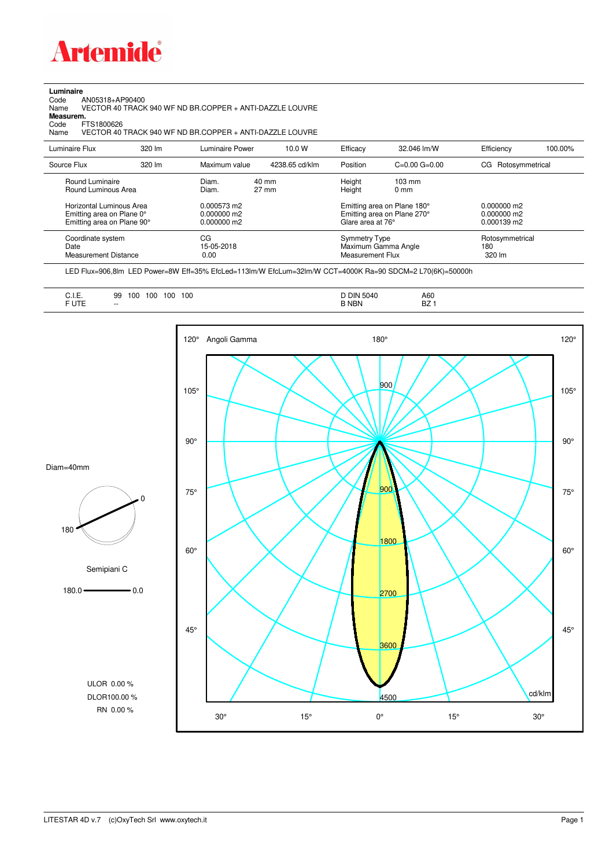

## **Luminaire**

Code AN05318+AP90400 Name VECTOR 40 TRACK 940 WF ND BR.COPPER + ANTI-DAZZLE LOUVRE Code A<br>Name V<br>**Measurem.** 

Code FTS1800626<br>Name VECTOR 40 Name VECTOR 40 TRACK 940 WF ND BR.COPPER + ANTI-DAZZLE LOUVRE

| Luminaire Flux                                                                                  | $320 \, \text{Im}$ | Luminaire Power                                | 10.0 W                   | Efficacy                                  | 32.046 lm/W                                                                                      | Efficiency                       | 100.00% |
|-------------------------------------------------------------------------------------------------|--------------------|------------------------------------------------|--------------------------|-------------------------------------------|--------------------------------------------------------------------------------------------------|----------------------------------|---------|
| Source Flux                                                                                     | 320 lm             | Maximum value                                  | 4238.65 cd/klm           | Position                                  | $C=0.00$ $G=0.00$                                                                                | CG Rotosymmetrical               |         |
| Round Luminaire<br>Round Luminous Area<br>Horizontal Luminous Area<br>Emitting area on Plane 0° |                    | Diam.<br>Diam.<br>0.000573 m2<br>$0.000000$ m2 | 40 mm<br>$27 \text{ mm}$ | Height<br>Height                          | $103 \text{ mm}$<br>$0 \text{ mm}$<br>Emitting area on Plane 180°<br>Emitting area on Plane 270° | $0.000000$ m2<br>$0.000000$ m2   |         |
| Emitting area on Plane 90°<br>Coordinate system                                                 |                    | $0.000000$ m2<br>CG                            |                          | Glare area at 76°<br><b>Symmetry Type</b> |                                                                                                  | $0.000139$ m2<br>Rotosymmetrical |         |
| Date<br>Measurement Distance                                                                    |                    | 15-05-2018<br>0.00                             |                          | Measurement Flux                          | Maximum Gamma Angle                                                                              | 180<br>320 lm                    |         |

LED Flux=906,8lm LED Power=8W Eff=35% EfcLed=113lm/W EfcLum=32lm/W CCT=4000K Ra=90 SDCM=2 L70(6K)=50000h